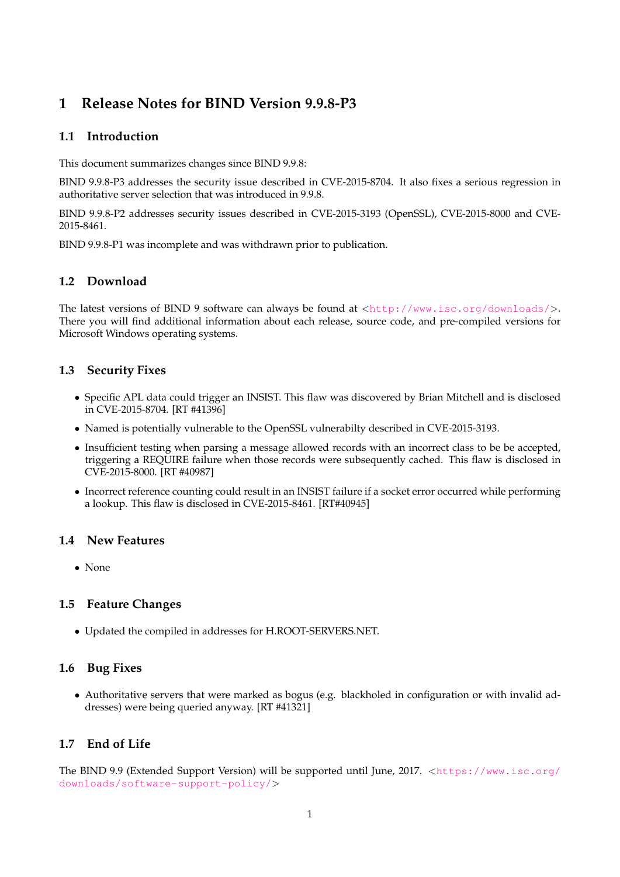# **1 Release Notes for BIND Version 9.9.8-P3**

## **1.1 Introduction**

This document summarizes changes since BIND 9.9.8:

BIND 9.9.8-P3 addresses the security issue described in CVE-2015-8704. It also fixes a serious regression in authoritative server selection that was introduced in 9.9.8.

BIND 9.9.8-P2 addresses security issues described in CVE-2015-3193 (OpenSSL), CVE-2015-8000 and CVE-2015-8461.

BIND 9.9.8-P1 was incomplete and was withdrawn prior to publication.

## **1.2 Download**

The latest versions of BIND 9 software can always be found at  $\langle \text{http://www.isc.org/downloads/}>$  $\langle \text{http://www.isc.org/downloads/}>$  $\langle \text{http://www.isc.org/downloads/}>$ . There you will find additional information about each release, source code, and pre-compiled versions for Microsoft Windows operating systems.

## **1.3 Security Fixes**

- Specific APL data could trigger an INSIST. This flaw was discovered by Brian Mitchell and is disclosed in CVE-2015-8704. [RT #41396]
- Named is potentially vulnerable to the OpenSSL vulnerabilty described in CVE-2015-3193.
- Insufficient testing when parsing a message allowed records with an incorrect class to be be accepted, triggering a REQUIRE failure when those records were subsequently cached. This flaw is disclosed in CVE-2015-8000. [RT #40987]
- Incorrect reference counting could result in an INSIST failure if a socket error occurred while performing a lookup. This flaw is disclosed in CVE-2015-8461. [RT#40945]

#### **1.4 New Features**

• None

#### **1.5 Feature Changes**

• Updated the compiled in addresses for H.ROOT-SERVERS.NET.

#### **1.6 Bug Fixes**

• Authoritative servers that were marked as bogus (e.g. blackholed in configuration or with invalid addresses) were being queried anyway. [RT #41321]

#### **1.7 End of Life**

The BIND 9.9 (Extended Support Version) will be supported until June, 2017. <[https://www.isc.org/](https://www.isc.org/downloads/software-support-policy/) [downloads/software-support-policy/](https://www.isc.org/downloads/software-support-policy/)>